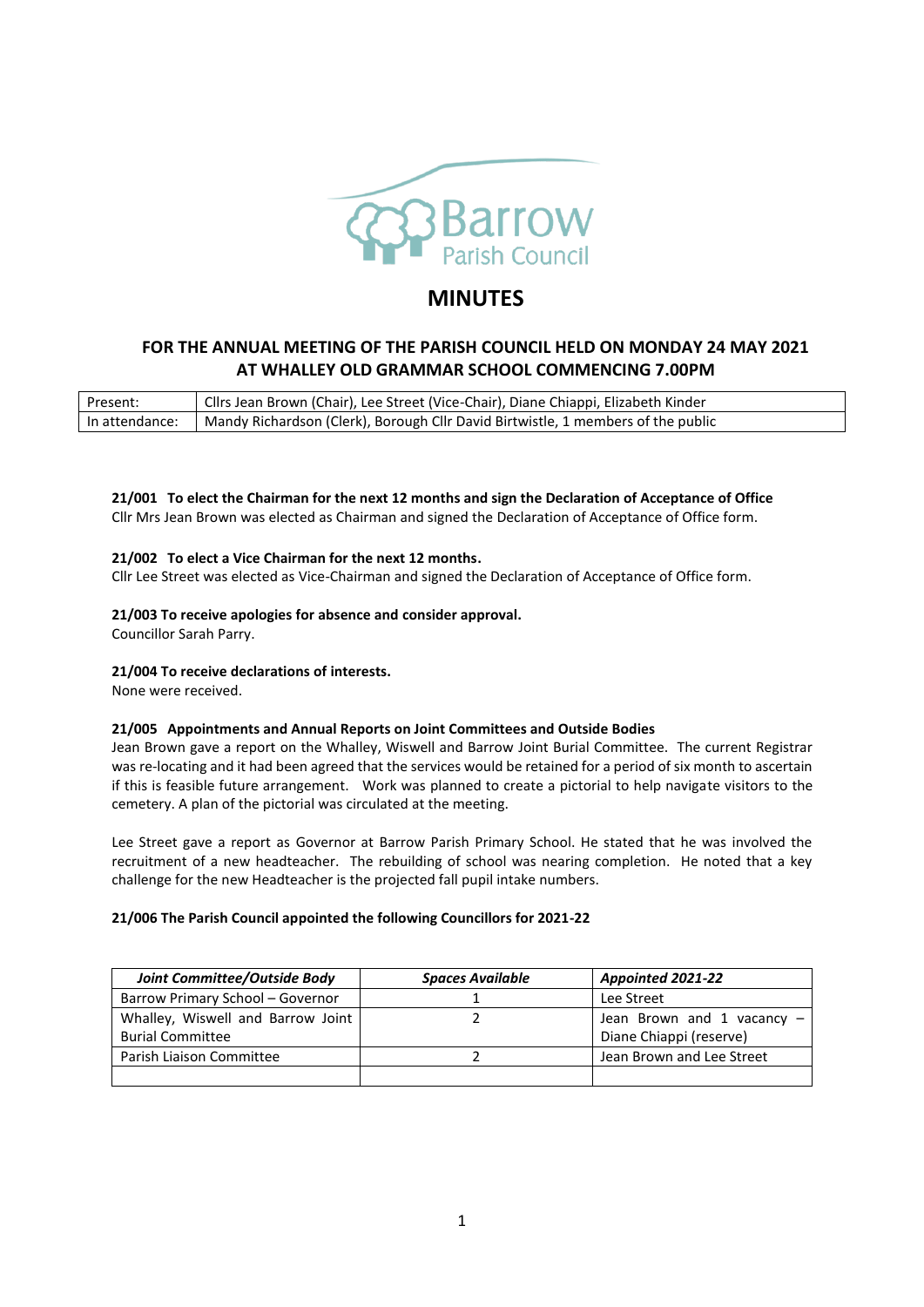

# **MINUTES**

## **FOR THE ANNUAL MEETING OF THE PARISH COUNCIL HELD ON MONDAY 24 MAY 2021 AT WHALLEY OLD GRAMMAR SCHOOL COMMENCING 7.00PM**

| Present:       | LICIIrs Jean Brown (Chair), Lee Street (Vice-Chair), Diane Chiappi, Elizabeth Kinder |
|----------------|--------------------------------------------------------------------------------------|
| In attendance: | Mandy Richardson (Clerk), Borough Cllr David Birtwistle, 1 members of the public     |

**21/001 To elect the Chairman for the next 12 months and sign the Declaration of Acceptance of Office** Cllr Mrs Jean Brown was elected as Chairman and signed the Declaration of Acceptance of Office form.

#### **21/002 To elect a Vice Chairman for the next 12 months.**

Cllr Lee Street was elected as Vice-Chairman and signed the Declaration of Acceptance of Office form.

#### **21/003 To receive apologies for absence and consider approval.**

Councillor Sarah Parry.

#### **21/004 To receive declarations of interests.**

None were received.

#### **21/005 Appointments and Annual Reports on Joint Committees and Outside Bodies**

Jean Brown gave a report on the Whalley, Wiswell and Barrow Joint Burial Committee. The current Registrar was re-locating and it had been agreed that the services would be retained for a period of six month to ascertain if this is feasible future arrangement. Work was planned to create a pictorial to help navigate visitors to the cemetery. A plan of the pictorial was circulated at the meeting.

Lee Street gave a report as Governor at Barrow Parish Primary School. He stated that he was involved the recruitment of a new headteacher. The rebuilding of school was nearing completion. He noted that a key challenge for the new Headteacher is the projected fall pupil intake numbers.

#### **21/006 The Parish Council appointed the following Councillors for 2021-22**

| Joint Committee/Outside Body      | <b>Spaces Available</b> | Appointed 2021-22          |
|-----------------------------------|-------------------------|----------------------------|
| Barrow Primary School - Governor  |                         | Lee Street                 |
| Whalley, Wiswell and Barrow Joint |                         | Jean Brown and 1 vacancy - |
| <b>Burial Committee</b>           |                         | Diane Chiappi (reserve)    |
| Parish Liaison Committee          |                         | Jean Brown and Lee Street  |
|                                   |                         |                            |